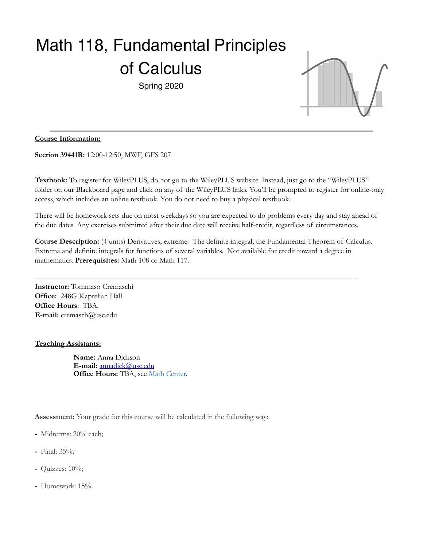# Math 118, Fundamental Principles of Calculus

Spring 2020



## **Course Information:**

**Section 39441R:** 12:00-12:50, MWF, GFS 207

**Textbook:** To register for WileyPLUS, do not go to the WileyPLUS website. Instead, just go to the "WileyPLUS" folder on our Blackboard page and click on any of the WileyPLUS links. You'll be prompted to register for online-only access, which includes an online textbook. You do not need to buy a physical textbook.

There will be homework sets due on most weekdays so you are expected to do problems every day and stay ahead of the due dates. Any exercises submitted after their due date will receive half-credit, regardless of circumstances.

**Course Description:** (4 units) Derivatives; extreme. The definite integral; the Fundamental Theorem of Calculus. Extrema and definite integrals for functions of several variables. Not available for credit toward a degree in mathematics. **Prerequisites:** Math 108 or Math 117.

**Instructor:** Tommaso Cremaschi **Office:** 248G Kaprelian Hall **Office Hours**: TBA. **E-mail:** cremasch@usc.edu

#### **Teaching Assistants:**

**Name:** Anna Dickson **E-mail:** [annadick@usc.edu](mailto:annadick@usc.edu) **Office Hours:** TBA, see [Math Center.](https://dornsife.usc.edu/mathcenter/)

**Assessment:** Your grade for this course will be calculated in the following way:

- Midterms: 20% each;
- Final: 35%;
- Quizzes: 10%;
- Homework: 15%.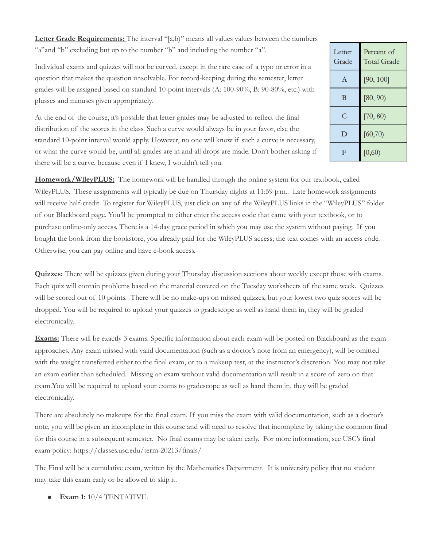Letter Grade Requirements: The interval "[a,b]" means all values values between the numbers "a" and "b" excluding but up to the number "b" and including the number "a".

Letter Percent of **Total Grade** Grade  $[90, 100]$  $\mathbf{A}$  $\mathbf B$  $[80, 90)$  $\mathsf{C}$  $[70, 80)$  $\mathbf D$  $[60, 70]$  $\overline{F}$  $[0,60)$ 

Individual exams and quizzes will not be curved, except in the rare case of a typo or error in a question that makes the question unsolvable. For record-keeping during the semester, letter grades will be assigned based on standard 10-point intervals (A: 100-90%, B: 90-80%, etc.) with plusses and minuses given appropriately.

At the end of the course, it's possible that letter grades may be adjusted to reflect the final distribution of the scores in the class. Such a curve would always be in your favor, else the standard 10-point interval would apply. However, no one will know if such a curve is necessary, or what the curve would be, until all grades are in and all drops are made. Don't bother asking if there will be a curve, because even if I knew, I wouldn't tell you.

**Homework/WileyPLUS:** The homework will be handled through the online system for our textbook, called WileyPLUS. These assignments will typically be due on Thursday nights at 11:59 p.m.. Late homework assignments will receive half-credit. To register for WileyPLUS, just click on any of the WileyPLUS links in the "WileyPLUS" folder of our Blackboard page. You'll be prompted to either enter the access code that came with your textbook, or to purchase online-only access. There is a 14-day grace period in which you may use the system without paying. If you bought the book from the bookstore, you already paid for the WileyPLUS access; the text comes with an access code. Otherwise, you can pay online and have e-book access.

**Quizzes:** There will be quizzes given during your Thursday discussion sections about weekly except those with exams. Each quiz will contain problems based on the material covered on the Tuesday worksheets of the same week. Quizzes will be scored out of 10 points. There will be no make-ups on missed quizzes, but your lowest two quiz scores will be dropped. You will be required to upload your quizzes to gradescope as well as hand them in, they will be graded electronically.

**Exams:** There will be exactly 3 exams. Specific information about each exam will be posted on Blackboard as the exam approaches. Any exam missed with valid documentation (such as a doctor's note from an emergency), will be omitted with the weight transferred either to the final exam, or to a makeup test, at the instructor's discretion. You may not take an exam earlier than scheduled. Missing an exam without valid documentation will result in a score of zero on that exam.You will be required to upload your exams to gradescope as well as hand them in, they will be graded electronically.

There are absolutely no makeups for the final exam. If you miss the exam with valid documentation, such as a doctor's note, you will be given an incomplete in this course and will need to resolve that incomplete by taking the common final for this course in a subsequent semester. No final exams may be taken early. For more information, see USC's final exam policy: https://classes.usc.edu/term-20213/finals/

The Final will be a cumulative exam, written by the Mathematics Department. It is university policy that no student may take this exam early or be allowed to skip it.

**● Exam 1:** 10/4 TENTATIVE.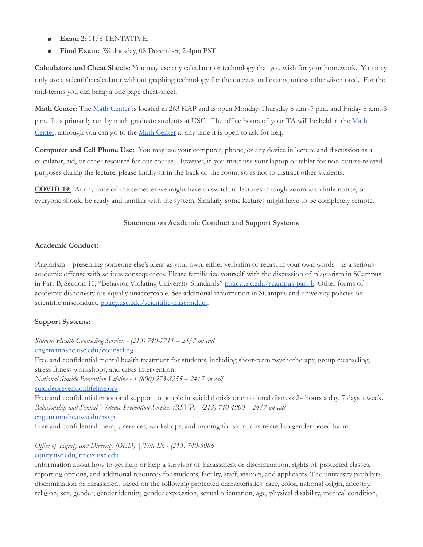- **● Exam 2:** 11/8 TENTATIVE.
- **Final Exam:** Wednesday, 08 December, 2-4pm PST.

**Calculators and Cheat Sheets:** You may use any calculator or technology that you wish for your homework. You may only use a scientific calculator without graphing technology for the quizzes and exams, unless otherwise noted. For the mid-terms you can bring a one page cheat-sheet.

**Math Center:** The [Math Center](https://dornsife.usc.edu/mathcenter/) is located in 263 KAP and is open Monday-Thursday 8 a.m.-7 p.m. and Friday 8 a.m.-5 p.m. It is primarily run by math graduate students at USC. The office hours of your TA will be held in the [Math](https://dornsife.usc.edu/mathcenter/)  [Center,](https://dornsife.usc.edu/mathcenter/) although you can go to the [Math Center](https://dornsife.usc.edu/mathcenter/) at any time it is open to ask for help.

**Computer and Cell Phone Use:** You may use your computer, phone, or any device in lecture and discussion as a calculator, aid, or other resource for our course. However, if you must use your laptop or tablet for non-course related purposes during the lecture, please kindly sit in the back of the room, so as not to distract other students.

**COVID-19:** At any time of the semester we might have to switch to lectures through zoom with little notice, so everyone should be ready and familiar with the system. Similarly some lectures might have to be completely remote.

#### **Statement on Academic Conduct and Support Systems**

## **Academic Conduct:**

Plagiarism – presenting someone else's ideas as your own, either verbatim or recast in your own words – is a serious academic offense with serious consequences. Please familiarize yourself with the discussion of plagiarism in SCampus in Part B, Section 11, "Behavior Violating University Standards" [policy.usc.edu/scampus-part-b.](https://policy.usc.edu/scampus-part-b/) Other forms of academic dishonesty are equally unacceptable. See additional information in SCampus and university policies on scientific misconduct, [policy.usc.edu/scientific-misconduct](http://policy.usc.edu/scientific-misconduct).

# **Support Systems:**

*Student Health Counseling Services - (213) 740-7711 – 24/7 on call* [engemannshc.usc.edu/counseling](https://engemannshc.usc.edu/counseling/)

Free and confidential mental health treatment for students, including short-term psychotherapy, group counseling, stress fitness workshops, and crisis intervention.

*National Suicide Prevention Lifeline - 1 (800) 273-8255 – 24/7 on call* [suicidepreventionlifeline.org](http://www.suicidepreventionlifeline.org/)

Free and confidential emotional support to people in suicidal crisis or emotional distress 24 hours a day, 7 days a week. *Relationship and Sexual Violence Prevention Services (RSVP) - (213) 740-4900 – 24/7 on call* [engemannshc.usc.edu/rsvp](https://engemannshc.usc.edu/rsvp/)

Free and confidential therapy services, workshops, and training for situations related to gender-based harm.

*Office of Equity and Diversity (OED) | Title IX - (213) 740-5086* [equity.usc.edu](https://equity.usc.edu/), [titleix.usc.edu](http://titleix.usc.edu/)

Information about how to get help or help a survivor of harassment or discrimination, rights of protected classes, reporting options, and additional resources for students, faculty, staff, visitors, and applicants. The university prohibits discrimination or harassment based on the following protected characteristics: race, color, national origin, ancestry, religion, sex, gender, gender identity, gender expression, sexual orientation, age, physical disability, medical condition,